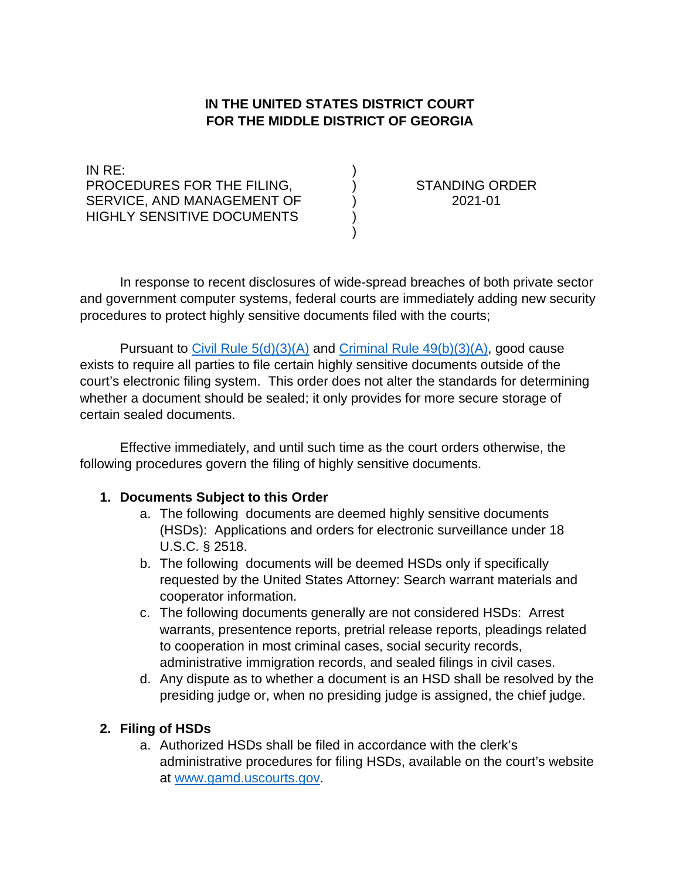# **IN THE UNITED STATES DISTRICT COURT FOR THE MIDDLE DISTRICT OF GEORGIA**

) ) ) ) )

IN RE: PROCEDURES FOR THE FILING, SERVICE, AND MANAGEMENT OF HIGHLY SENSITIVE DOCUMENTS

STANDING ORDER 2021-01

In response to recent disclosures of wide-spread breaches of both private sector and government computer systems, federal courts are immediately adding new security procedures to protect highly sensitive documents filed with the courts;

Pursuant to Civil Rule  $5(d)(3)(A)$  and Criminal Rule  $49(b)(3)(A)$ , good cause exists to require all parties to file certain highly sensitive documents outside of the court's electronic filing system. This order does not alter the standards for determining whether a document should be sealed; it only provides for more secure storage of certain sealed documents.

Effective immediately, and until such time as the court orders otherwise, the following procedures govern the filing of highly sensitive documents.

#### **1. Documents Subject to this Order**

- a. The following documents are deemed highly sensitive documents (HSDs): Applications and orders for electronic surveillance under 18 U.S.C. § 2518.
- b. The following documents will be deemed HSDs only if specifically requested by the United States Attorney: Search warrant materials and cooperator information.
- c. The following documents generally are not considered HSDs: Arrest warrants, presentence reports, pretrial release reports, pleadings related to cooperation in most criminal cases, social security records, administrative immigration records, and sealed filings in civil cases.
- d. Any dispute as to whether a document is an HSD shall be resolved by the presiding judge or, when no presiding judge is assigned, the chief judge.

### **2. Filing of HSDs**

a. Authorized HSDs shall be filed in accordance with the clerk's administrative procedures for filing HSDs, available on the court's website at [www.gamd.uscourts.gov.](http://www.gamd.uscourts.gov/)